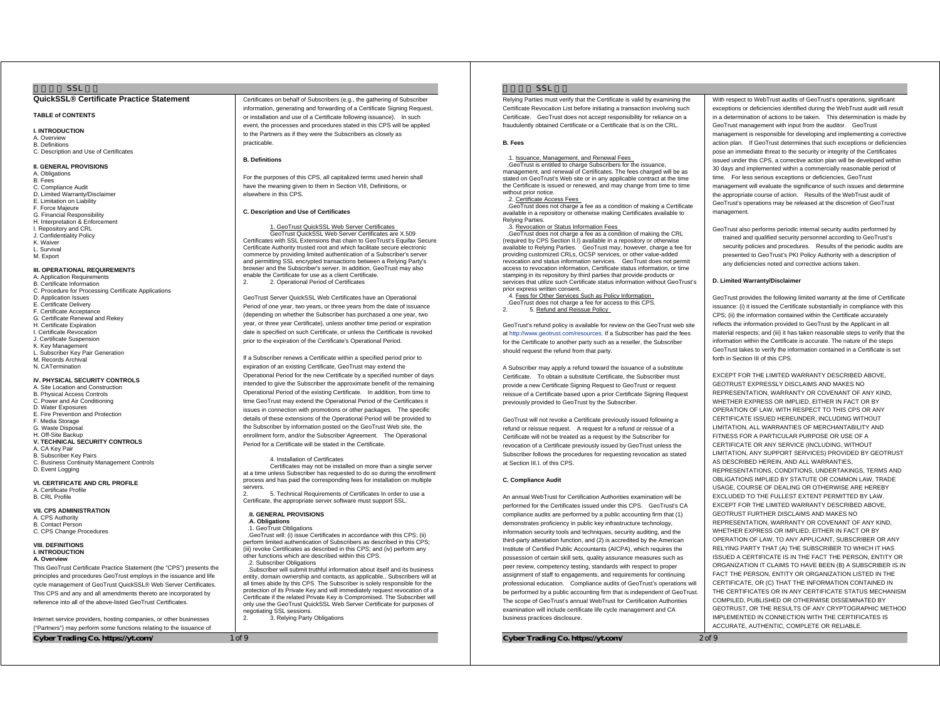### $SSI$

### **QuickSSL® Certificate Practice Statement**

#### **TABLE of CONTENTS**

**I. INTRODUC TION**  A. Overview B. Definitions C. Description and Use of Certificates

#### **II. GENERAL PROVISIONS**

A. Obligations B. Fees C. Compliance Audit D. Limited Warranty/Disclaimer E. Limitation on Liability F. Force Majeure G. Financial Responsibility H. Interpretation & Enforcement I. Repository and CRL J. Confidentiality Policy K. Waiver L. Survival M. Export

### **III. OPERATIONAL REQUIREMENTS**

A. Application Requirements B. Certificate Information C. Procedure for Processing Certificate Applications D. Application Issues E. Certificate Delivery F. Certificate Acceptance G. Certificate Renewal and Rekey H. Certificate Expiration **I. Certificate Revocation** J. Certificate Suspension K. Key Management L. Subscriber Key Pair Generation M. Records Archival N. CATermination

#### **IV. PHYSICAL SECURITY CONTR OLS**  A. Site Location and Construction

B. Physical Access Controls C. Power and Air Conditioning D. Water Exposures E. Fire Prevention and Protection F. Media Storage G. Waste Disposal H. Off-Site Backup **V. TECHNICAL SECURITY CONTROLS**  A. CA Key Pair B. Subscriber Key Pairs C. Business Continuity Management Controls

D. Event Logging **VI. CERTIFICATE AND CRL PROFILE** 

A. Certificate Profile B. CRL Profile

**VII. CPS ADMINIS TRATION**  A. CPS Authority B. Contact Person C. CPS Change Procedures

#### **VIII. DEFINITIONS I. INTRODUCTION A. Overview**

This GeoTrust Certificate Practice Statement (the "CPS") presents the principles and procedures GeoTrust employs in the issuance and life cycle management of GeoTrust QuickSSL® Web Server Certificates. This CPS and any and all amendments thereto are incorporated by reference into all of the above-listed GeoTrust Certificates.

Internet service providers, hosting companies, or other businesses ("Partners") may perform some functions relating to the issuance of

**Cyber Trading Co. https://yt.com/** 1 of 9

Certificates on behalf of Subscribers (e.g., the gathering of Subscriber information, generating and forwarding of a Certificate Signing Request, or installation and use of a Certificate following issuance). In such event, the processes and procedures stated in this CPS will be applied to the Partners as if they were the Subscribers as closely as practicable.

### **B. Definitions**

For the purposes of this CPS, all capitalized terms used herein shall have the meaning given to them in Section VIII, Definitions, or elsewhere in this CPS.

### **C. Description and Use of Certificates**

 1. GeoTrust QuickSSL Web Server Certificates GeoTrust QuickSSL Web Server Certificates are X.509 Certificates with SSL Extensions that chain to GeoTrust's Equifax Secure Certificate Authority trusted root and which facilitate secure electronic commerce by providing limited authentication of a Subscriber's serve and permitting SSL encrypted transactions between a Relying Party's browser and the Subscriber's server. In addition, GeoTrust may also enable the Certificate for use as a client Certificate. 2. Operational Period of Certificates

GeoTrust Server QuickSSL Web Certificates have an Operational Period of one year, two years, or three years from the date of issuance (depending on whether the Subscriber has purchased a one year, two year, or three year Certificate), unless another time period or expiration date is specified on such Certificate, or unless the Certificate is revoked prior to the expiration of the Certificate's Operational Period.

If a Subscriber renews a Certificate within a specified period prior to expiration of an existing Certificate, GeoTrust may extend the Operational Period for the new Certificate by a specified number of days intended to give the Subscriber the approximate benefit of the remaining Operational Period of the existing Certificate. In addition, from time to time GeoTrust may extend the Operational Period of the Certificates it issues in connection with promotions or other packages. The specific details of these extensions of the Operational Period will be provided to the Subscriber by information posted on the GeoTrust Web site, the enrollment form, and/or the Subscriber Agreement. The Operational Period for a Certificate will be stated in the Certificate.

### 4. Installation of Certificates

 Certificates may not be installed on more than a single server at a time unless Subscriber has requested to do so during the enrollment process and has paid the corresponding fees for installation on multiple servers.

2. 5. Technical Requirements of Certificates In order to use a Certificate, the appropriate server software must support SSL.

### .**II. GENERAL PROVISIONS**

#### .**A. Obligations** .1. GeoTrust Obligations

.GeoTrust will: (i) issue Certificates in accordance with this CPS; (ii) perform limited authentication of Subscribers as described in this CPS; (iii) revoke Certificates as described in this CPS; and (iv) perform any other functions which are described within this CPS. .2. Subscriber Obligations

.Subscriber will submit truthful information about itself and its business entity, domain ownership and contacts, as applicable.. Subscribers will at all times abide by this CPS. The Subscriber is solely responsible for the protection of its Private Key and will immediately request revocation of a Certificate if the related Private Key is Compromised. The Subscriber will only use the GeoTrust QuickSSL Web Server Certificate for purposes of negotiating SSL sessions.

g USE Secondrict.<br>3. Relying Party Obligations

### $S<sub>S</sub>$

Relying Parties must verify that the Certificate is valid by examining the Certificate Revocation List before initiating a transaction involving such Certificate. GeoTrust does not accept responsibility for reliance on a fraudulently obtained Certificate or a Certificate that is on the CRL.

#### **B. Fees**

# .1. Issuance, Management, and Renewal Fees

.GeoTrust is entitled to charge Subscribers for the issuance,

### management, and renewal of Certificates. The fees charged will be as

stated on GeoTrust's Web site or in any applicable contract at the time the Certificate is issued or renewed, and may change from time to time without prior notice .2. Certificate Access Fees .GeoTrust does not charge a fee as a condition of making a Certificate available in a repository or otherwise making Certificates available to

#### Relying Parties. erying ranues.<br>.3. Revocation o<u>r Status Information Fees</u>

.GeoTrust does not charge a fee as a condition of making the CRL (required by CPS Section II.I) available in a repository or otherwise available to Relying Parties. GeoTrust may, however, charge a fee for providing customized CRLs, OCSP services, or other value-added revocation and status information services. GeoTrust does not permit access to revocation information, Certificate status information, or time stamping in its repository by third parties that provide products or services that utilize such Certificate status information without GeoTrust's prior express written consent.

.4. Fees for Other Services Such as Policy Information .GeoTrust does not charge a fee for access to this CPS.

2. 5. Refund and Reissue Policy

GeoTrust's refund policy is available for review on the GeoTrust web site at http://www.geotrust.com/resources. If a Subscriber has paid the fees for the Certificate to another party such as a reseller, the Subscriber should request the refund from that party.

A Subscriber may apply a refund toward the issuance of a substitute Certificate. To obtain a substitute Certificate, the Subscriber must provide a new Certificate Signing Request to GeoTrust or request reissue of a Certificate based upon a prior Certificate Signing Request previously provided to GeoTrust by the Subscriber.

GeoTrust will not revoke a Certificate previously issued following a refund or reissue request. A request for a refund or reissue of a Certificate will not be treated as a request by the Subscriber for revocation of a Certificate previously issued by GeoTrust unless the Subscriber follows the procedures for requesting revocation as stated at Section III.I. of this CPS.

#### **C. Compliance Audit**

An annual WebTrust for Certification Authorities examination will be performed for the Certificates issued under this CPS. GeoTrust's CA compliance audits are performed by a public accounting firm that (1) demonstrates proficiency in public key infrastructure technology, information security tools and techniques, security auditing, and the third-party attestation function, and (2) is accredited by the American Institute of Certified Public Accountants (AICPA), which requires the possession of certain skill sets, quality assurance measures such as peer review, competency testing, standards with respect to proper assignment of staff to engagements, and requirements for continuing professional education. Compliance audits of GeoTrust's operations will be performed by a public accounting firm that is independent of GeoTrust. The scope of GeoTrust's annual WebTrust for Certification Authorities examination will include certificate life cycle management and CA business practices disclosure.

**Cyber Trading Co. https://yt.com/** 2 of 9

With respect to WebTrust audits of GeoTrust's operations, significant exceptions or deficiencies identified during the WebTrust audit will result in a determination of actions to be taken. This determination is made by GeoTrust management with input from the auditor. GeoTrust management is responsible for developing and implementing a corrective action plan. If GeoTrust determines that such exceptions or deficiencies pose an immediate threat to the security or integrity of the Certificates issued under this CPS, a corrective action plan will be developed within 30 days and implemented within a commercially reasonable period of time. For less serious exceptions or deficiencies, GeoTrust management will evaluate the significance of such issues and determine the appropriate course of action. Results of the WebTrust audit of GeoTrust's operations may be released at the discretion of GeoTrust management.

GeoTrust also performs periodic internal security audits performed by trained and qualified security personnel according to GeoTrust's security policies and procedures. Results of the periodic audits are presented to GeoTrust's PKI Policy Authority with a description of any deficiencies noted and corrective actions taken.

### **D. Limited Warranty/Disclaimer**

GeoTrust provides the following limited warranty at the time of Certificate issuance: (i) it issued the Certificate substantially in compliance with this CPS; (ii) the information contained within the Certificate accurately reflects the information provided to GeoTrust by the Applicant in all material respects; and (iii) it has taken reasonable steps to verify that the information within the Certificate is accurate. The nature of the steps GeoTrust takes to verify the information contained in a Certificate is set forth in Section III of this CPS.

EXCEPT FOR THE LIMITED WARRANTY DESCRIBED ABOVE, GEOTRUST EXPRESSLY DISCLAIMS AND MAKES NO REPRESENTATION, WARRANTY OR COVENANT OF ANY KIND, WHETHER EXPRESS OR IMPLIED, EITHER IN FACT OR BY OPERATION OF LAW, WITH RESPECT TO THIS CPS OR ANY CERTIFICATE ISSUED HEREUNDER, INCLUDING WITHOUT LIMITATION, ALL WARRANTIES OF MERCHANTABILITY AND FITNESS FOR A PARTICULAR PURPOSE OR USE OF A CERTIFICATE OR ANY SERVICE (INCLUDING, WITHOUT LIMITATION, ANY SUPPORT SERVICES) PROVIDED BY GEOTRUST AS DESCRIBED HEREIN, AND ALL WARRANTIES, REPRESENTATIONS, CONDITIONS, UNDERTAKINGS, TERMS AND OBLIGATIONS IMPLIED BY STATUTE OR COMMON LAW, TRADE USAGE, COURSE OF DEALING OR OTHERWISE ARE HEREBY EXCLUDED TO THE FULLEST EXTENT PERMITTED BY LAW. EXCEPT FOR THE LIMITED WARRANTY DESCRIBED ABOVE GEOTRUST FURTHER DISCLAIMS AND MAKES NO REPRESENTATION, WARRANTY OR COVENANT OF ANY KIND, WHETHER EXPRESS OR IMPLIED, EITHER IN FACT OR BY OPERATION OF LAW, TO ANY APPLICANT, SUBSCRIBER OR ANY RELYING PARTY THAT (A) THE SUBSCRIBER TO WHICH IT HAS ISSUED A CERTIFICATE IS IN THE FACT THE PERSON, ENTITY OR ORGANIZATION IT CLAIMS TO HAVE BEEN (B) A SUBSCRIBER IS IN FACT THE PERSON, ENTITY OR ORGANIZATION LISTED IN THE CERTIFICATE, OR (C) THAT THE INFORMATION CONTAINED IN THE CERTIFICATES OR IN ANY CERTIFICATE STATUS MECHANISM COMPILED, PUBLISHED OR OTHERWISE DISSEMINATED BY GEOTRUST, OR THE RESULTS OF ANY CRYPTOGRAPHIC METHOD IMPLEMENTED IN CONNECTION WITH THE CERTIFICATES IS ACCURATE, AUTHENTIC, COMPLETE OR RELIABLE.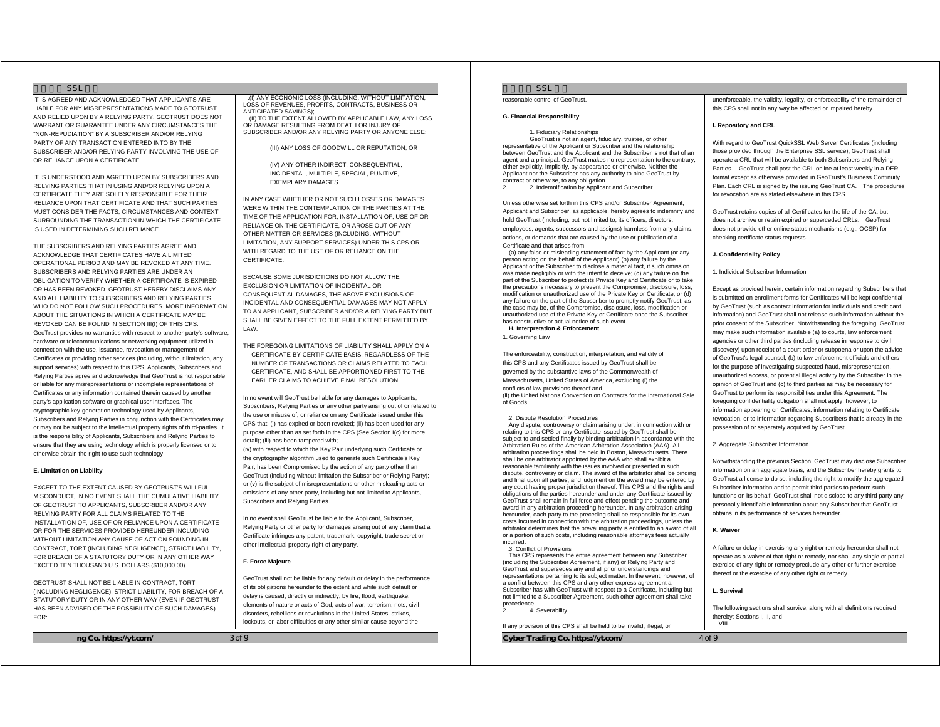### $SSL$

IT IS AGREED AND ACKNOWLEDGED THAT APPLICANTS ARE LIABLE FOR ANY MISREPRESENTATIONS MADE TO GEOTRUST AND RELIED UPON BY A RELYING PARTY. GEOTRUST DOES NOT WARRANT OR GUARANTEE UNDER ANY CIRCUMSTANCES THE "NON-REPUDIATION" BY A SUBSCRIBER AND/OR RELYING PARTY OF ANY TRANSACTION ENTERED INTO BY THE SUBSCRIBER AND/OR RELYING PARTY INVOLVING THE USE OF OR RELIANCE UPON A CERTIFICATE.

IT IS UNDERSTOOD AND AGREED UPON BY SUBSCRIBERS AND RELYING PARTIES THAT IN USING AND/OR RELYING UPON A CERTIFICATE THEY ARE SOLELY RESPONSIBLE FOR THEIR RELIANCE UPON THAT CERTIFICATE AND THAT SUCH PARTIES MUST CONSIDER THE FACTS, CIRCUMSTANCES AND CONTEXT SURROUNDING THE TRANSACTION IN WHICH THE CERTIFICATE IS USED IN DETERMINING SUCH RELIANCE.

THE SUBSCRIBERS AND RELYING PARTIES AGREE AND ACKNOWLEDGE THAT CERTIFICATES HAVE A LIMITED OPERATIONAL PERIOD AND MAY BE REVOKED AT ANY TIME. SUBSCRIBERS AND RELYING PARTIES ARE UNDER AN OBLIGATION TO VERIFY WHETHER A CERTIFICATE IS EXPIRED OR HAS BEEN REVOKED. GEOTRUST HEREBY DISCLAIMS ANY AND ALL LIABILITY TO SUBSCRIBERS AND RELYING PARTIES WHO DO NOT FOLLOW SUCH PROCEDURES. MORE INFORMATION ABOUT THE SITUATIONS IN WHICH A CERTIFICATE MAY BE REVOKED CAN BE FOUND IN SECTION III(I) OF THIS CPS. GeoTrust provides no warranties with respect to another party's software, hardware or telecommunications or networking equipment utilized in connection with the use, issuance, revocation or management of Certificates or providing other services (including, without limitation, any support services) with respect to this CPS. Applicants, Subscribers and Relying Parties agree and acknowledge that GeoTrust is not responsible or liable for any misrepresentations or incomplete representations of Certificates or any information contained therein caused by another party's application software or graphical user interfaces. The cryptographic key-generation technology used by Applicants, Subscribers and Relying Parties in conjunction with the Certificates may or may not be subject to the intellectual property rights of third-parties. It is the responsibility of Applicants, Subscribers and Relying Parties to ensure that they are using technology which is properly licensed or to otherwise obtain the right to use such technology

### **E. Limitation on Liability**

EXCEPT TO THE EXTENT CAUSED BY GEOTRUST'S WILLFUL MISCONDUCT, IN NO EVENT SHALL THE CUMULATIVE LIABILITY OF GEOTRUST TO APPLICANTS, SUBSCRIBER AND/OR ANY RELYING PARTY FOR ALL CLAIMS RELATED TO THE INSTALLATION OF, USE OF OR RELIANCE UPON A CERTIFICATE OR FOR THE SERVICES PROVIDED HERELINDER INCLUDING WITHOUT LIMITATION ANY CAUSE OF ACTION SOUNDING IN CONTRACT, TORT (INCLUDING NEGLIGENCE), STRICT LIABILITY, FOR BREACH OF A STATUTORY DUTY OR IN ANY OTHER WAY EXCEED TEN THOUSAND U.S. DOLLARS (\$10,000.00).

GEOTRUST SHALL NOT BE LIABLE IN CONTRACT, TORT (INCLUDING NEGLIGENCE), STRICT LIABILITY, FOR BREACH OF A STATUTORY DUTY OR IN ANY OTHER WAY (EVEN IF GEOTRUST HAS BEEN ADVISED OF THE POSSIBILITY OF SUCH DAMAGES) FOR:

**ng Co. https://yt.com/** 3 of 9

.(I) ANY ECONOMIC LOSS (INCLUDING, WITHOUT LIMITATION, LOSS OF REVENUES, PROFITS, CONTRACTS, BUSINESS OR ANTICIPATED SAVINGS); .(II) TO THE EXTENT ALLOWED BY APPLICABLE LAW, ANY LOSS OR DAMAGE RESULTING FROM DEATH OR INJURY OF

SUBSCRIBER AND/OR ANY RELYING PARTY OR ANYONE ELSE; (III) ANY LOSS OF GOODWILL OR REPUTATION; OR

> (IV) ANY OTHER INDIRECT, CONSEQUENTIAL, INCIDENTAL, MULTIPLE, SPECIAL, PUNITIVE, EXEMPLARY DAMAGES

IN ANY CASE WHETHER OR NOT SUCH LOSSES OR DAMAGES WERE WITHIN THE CONTEMPLATION OF THE PARTIES AT THE TIME OF THE APPLICATION FOR, INSTALLATION OF, USE OF OR RELIANCE ON THE CERTIFICATE, OR AROSE OUT OF ANY OTHER MATTER OR SERVICES (INCLUDING, WITHOUT LIMITATION, ANY SUPPORT SERVICES) UNDER THIS CPS OR WITH REGARD TO THE USE OF OR RELIANCE ON THE CERTIFICATE.

BECAUSE SOME JURISDICTIONS DO NOT ALLOW THE EXCLUSION OR LIMITATION OF INCIDENTAL OR CONSEQUENTIAL DAMAGES, THE ABOVE EXCLUSIONS OF INCIDENTAL AND CONSEQUENTIAL DAMAGES MAY NOT APPLY TO AN APPLICANT, SUBSCRIBER AND/OR A RELYING PARTY BUT SHALL BE GIVEN EFFECT TO THE FULL EXTENT PERMITTED BY LAW.

THE FOREGOING LIMITATIONS OF LIABILITY SHALL APPLY ON A CERTIFICATE-BY-CERTIFICATE BASIS, REGARDLESS OF THE NUMBER OF TRANSACTIONS OR CLAIMS RELATED TO EACH CERTIFICATE, AND SHALL BE APPORTIONED FIRST TO THE EARLIER CLAIMS TO ACHIEVE FINAL RESOLUTION.

In no event will GeoTrust be liable for any damages to Applicants, Subscribers, Relying Parties or any other party arising out of or related to the use or misuse of, or reliance on any Certificate issued under this CPS that: (i) has expired or been revoked; (ii) has been used for any purpose other than as set forth in the CPS (See Section I(c) for more detail); (iii) has been tampered with;

(iv) with respect to which the Key Pair underlying such Certificate or the cryptography algorithm used to generate such Certificate's Key Pair, has been Compromised by the action of any party other than GeoTrust (including without limitation the Subscriber or Relying Party); or (v) is the subject of misrepresentations or other misleading acts or omissions of any other party, including but not limited to Applicants, Subscribers and Relying Parties.

In no event shall GeoTrust be liable to the Applicant, Subscriber, Relying Party or other party for damages arising out of any claim that a Certificate infringes any patent, trademark, copyright, trade secret or other intellectual property right of any party.

### **F. Force Majeure**

GeoTrust shall not be liable for any default or delay in the performance of its obligations hereunder to the extent and while such default or delay is caused, directly or indirectly, by fire, flood, earthquake, elements of nature or acts of God, acts of war, terrorism, riots, civil disorders, rebellions or revolutions in the United States, strikes, lockouts, or labor difficulties or any other similar cause beyond the

 $S<sub>S</sub>$ 

reasonable control of GeoTrust.

#### **G. Financial Responsibility**

#### 1. Fiduciary Relationships

 GeoTrust is not an agent, fiduciary, trustee, or other representative of the Applicant or Subscriber and the relationship between GeoTrust and the Applicant and the Subscriber is not that of an agent and a principal. GeoTrust makes no representation to the contrary, either explicitly, implicitly, by appearance or otherwise. Neither the Applicant nor the Subscriber has any authority to bind GeoTrust by contract or otherwise, to any obligation. 2. 2. Indemnification by Applicant and Subscriber

Unless otherwise set forth in this CPS and/or Subscriber Agreement, Applicant and Subscriber, as applicable, hereby agrees to indemnify and hold GeoTrust (including, but not limited to, its officers, directors, employees, agents, successors and assigns) harmless from any claims, actions, or demands that are caused by the use or publication of a Certificate and that arises from

.(a) any false or misleading statement of fact by the Applicant (or any person acting on the behalf of the Applicant) (b) any failure by the Applicant or the Subscriber to disclose a material fact, if such omission was made negligibly or with the intent to deceive; (c) any failure on the part of the Subscriber to protect its Private Key and Certificate or to take the precautions necessary to prevent the Compromise, disclosure, loss, modification or unauthorized use of the Private Key or Certificate; or (d) any failure on the part of the Subscriber to promptly notify GeoTrust, as the case may be, of the Compromise, disclosure, loss, modification or unauthorized use of the Private Key or Certificate once the Subscriber has constructive or actual notice of such event.

### .**H. Interpretation & Enforcement**

1. Governing Law

The enforceability, construction, interpretation, and validity of this CPS and any Certificates issued by GeoTrust shall be governed by the substantive laws of the Commonwealth of Massachusetts, United States of America, excluding (i) the conflicts of law provisions thereof and (ii) the United Nations Convention on Contracts for the International Sale of Goods.

#### .2. Dispute Resolution Procedures

.Any dispute, controversy or claim arising under, in connection with or relating to this CPS or any Certificate issued by GeoTrust shall be subject to and settled finally by binding arbitration in accordance with the Arbitration Rules of the American Arbitration Association (AAA). All arbitration proceedings shall be held in Boston, Massachusetts. There shall be one arbitrator appointed by the AAA who shall exhibit a reasonable familiarity with the issues involved or presented in such dispute, controversy or claim. The award of the arbitrator shall be binding and final upon all parties, and judgment on the award may be entered by any court having proper jurisdiction thereof. This CPS and the rights and obligations of the parties hereunder and under any Certificate issued by GeoTrust shall remain in full force and effect pending the outcome and award in any arbitration proceeding hereunder. In any arbitration arising hereunder, each party to the preceding shall be responsible for its own costs incurred in connection with the arbitration proceedings, unless the arbitrator determines that the prevailing party is entitled to an award of all or a portion of such costs, including reasonable attorneys fees actually incurred.

#### .3. Conflict of Provisions

.This CPS represents the entire agreement between any Subscriber (including the Subscriber Agreement, if any) or Relying Party and GeoTrust and supersedes any and all prior understandings and representations pertaining to its subject matter. In the event, however, of a conflict between this CPS and any other express agreement a Subscriber has with GeoTrust with respect to a Certificate, including but not limited to a Subscriber Agreement, such other agreement shall take precedence.

2. 4. Severability

If any provision of this CPS shall be held to be invalid, illegal, or

# **Cyber Trading Co. https://yt.com/**  $4$  of 9

unenforceable, the validity, legality, or enforceability of the remainder of this CPS shall not in any way be affected or impaired hereby.

#### **I. Repository and CRL**

With regard to GeoTrust QuickSSL Web Server Certificates (including those provided through the Enterprise SSL service), GeoTrust shall operate a CRL that will be available to both Subscribers and Relying Parties. GeoTrust shall post the CRL online at least weekly in a DER format except as otherwise provided in GeoTrust's Business Continuity Plan. Each CRL is signed by the issuing GeoTrust CA. The procedures for revocation are as stated elsewhere in this CPS.

GeoTrust retains copies of all Certificates for the life of the CA, but does not archive or retain expired or superceded CRLs. GeoTrust does not provide other online status mechanisms (e.g., OCSP) for checking certificate status requests.

### **J. Confidentiality Policy**

1. Individual Subscriber Information

Except as provided herein, certain information regarding Subscribers that is submitted on enrollment forms for Certificates will be kept confidential by GeoTrust (such as contact information for individuals and credit card information) and GeoTrust shall not release such information without the prior consent of the Subscriber. Notwithstanding the foregoing, GeoTrust may make such information available (a) to courts, law enforcement agencies or other third parties (including release in response to civil discovery) upon receipt of a court order or subpoena or upon the advice of GeoTrust's legal counsel, (b) to law enforcement officials and others for the purpose of investigating suspected fraud, misrepresentation, unauthorized access, or potential illegal activity by the Subscriber in the opinion of GeoTrust and (c) to third parties as may be necessary for GeoTrust to perform its responsibilities under this Agreement. The foregoing confidentiality obligation shall not apply, however, to information appearing on Certificates, information relating to Certificate revocation, or to information regarding Subscribers that is already in the possession of or separately acquired by GeoTrust.

# 2. Aggregate Subscriber Information

Notwithstanding the previous Section, GeoTrust may disclose Subscriber information on an aggregate basis, and the Subscriber hereby grants to GeoTrust a license to do so, including the right to modify the aggregated Subscriber information and to permit third parties to perform such functions on its behalf. GeoTrust shall not disclose to any third party any personally identifiable information about any Subscriber that GeoTrust obtains in its performance of services hereunder.

### **K. Waiver**

A failure or delay in exercising any right or remedy hereunder shall not operate as a waiver of that right or remedy, nor shall any single or partial exercise of any right or remedy preclude any other or further exercise thereof or the exercise of any other right or remedy.

#### **L. Survival**

The following sections shall survive, along with all definitions required thereby: Sections I, II, and .VIII.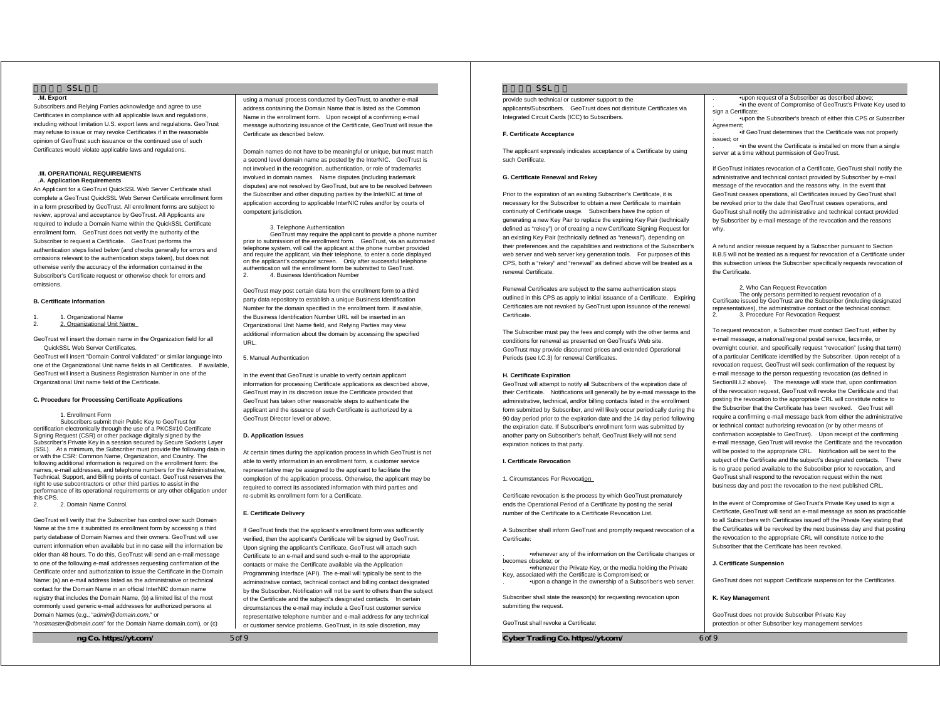# $SSI$

#### .**M. Export**

Subscribers and Relying Parties acknowledge and agree to use Certificates in compliance with all applicable laws and regulations, including without limitation U.S. export laws and regulations. GeoTrust may refuse to issue or may revoke Certificates if in the reasonable opinion of GeoTrust such issuance or the continued use of such Certificates would violate applicable laws and regulations.

#### .**III. OPERATIONAL REQUIREMENTS**  .**A. Application Requirements**

An Applicant for a GeoTrust QuickSSL Web Server Certificate shall complete a GeoTrust QuickSSL Web Server Certificate enrollment form in a form prescribed by GeoTrust. All enrollment forms are subject to review, approval and acceptance by GeoTrust. All Applicants are required to include a Domain Name within the QuickSSL Certificate enrollment form. GeoTrust does not verify the authority of the Subscriber to request a Certificate. GeoTrust performs the authentication steps listed below (and checks generally for errors and omissions relevant to the authentication steps taken), but does not otherwise verify the accuracy of the information contained in the Subscriber's Certificate request or otherwise check for errors and omissions.

## **B. Certificate Information**

- 1. 1. Organizational Name
- 2. Organizational Unit Name

GeoTrust will insert the domain name in the Organization field for all QuickSSL Web Server Certificates.

GeoTrust will insert "Domain Control Validated" or similar language into one of the Organizational Unit name fields in all Certificates. If available, GeoTrust will insert a Business Registration Number in one of the Organizational Unit name field of the Certificate.

### **C. Procedure for Processing Certificate Applications**

1. Enrollment Form

 Subscribers submit their Public Key to GeoTrust for certification electronically through the use of a PKCS#10 Certificate Signing Request (CSR) or other package digitally signed by the Subscriber's Private Key in a session secured by Secure Sockets Layer (SSL). At a minimum, the Subscriber must provide the following data in or with the CSR: Common Name, Organization, and Country. The following additional information is required on the enrollment form: the names, e-mail addresses, and telephone numbers for the Administrative, Technical, Support, and Billing points of contact. GeoTrust reserves the right to use subcontractors or other third parties to assist in the performance of its operational requirements or any other obligation under this CPS.

2. 2. Domain Name Control.

GeoTrust will verify that the Subscriber has control over such Domain Name at the time it submitted its enrollment form by accessing a third party database of Domain Names and their owners. GeoTrust will use current information when available but in no case will the information be older than 48 hours. To do this, GeoTrust will send an e-mail message to one of the following e-mail addresses requesting confirmation of the Certificate order and authorization to issue the Certificate in the Domain Name: (a) an e-mail address listed as the administrative or technical contact for the Domain Name in an official InterNIC domain name registry that includes the Domain Name, (b) a limited list of the most commonly used generic e-mail addresses for authorized persons at Domain Names (e.g., "*admin@domain.com*," or

"*hostmaster@domain.com*" for the Domain Name domain.com), or (c)

**ng Co. https://yt.com/** 5 of 9

using a manual process conducted by GeoTrust, to another e-mail address containing the Domain Name that is listed as the Common Name in the enrollment form. Upon receipt of a confirming e-mail message authorizing issuance of the Certificate, GeoTrust will issue the Certificate as described below.

Domain names do not have to be meaningful or unique, but must match a second level domain name as posted by the InterNIC. GeoTrust is not involved in the recognition, authentication, or role of trademarks involved in domain names. Name disputes (including trademark disputes) are not resolved by GeoTrust, but are to be resolved between the Subscriber and other disputing parties by the InterNIC at time of application according to applicable InterNIC rules and/or by courts of competent jurisdiction.

 3. Telephone Authentication GeoTrust may require the applicant to provide a phone number prior to submission of the enrollment form. GeoTrust, via an automated telephone system, will call the applicant at the phone number provided and require the applicant, via their telephone, to enter a code displayed on the applicant's computer screen. Only after successful telephone authentication will the enrollment form be submitted to GeoTrust.

2. 4. Business Identification Number

GeoTrust may post certain data from the enrollment form to a third party data repository to establish a unique Business Identification Number for the domain specified in the enrollment form. If available, the Business Identification Number URL will be inserted in an Organizational Unit Name field, and Relying Parties may view additional information about the domain by accessing the specified URL.

5. Manual Authentication

In the event that GeoTrust is unable to verify certain applicant information for processing Certificate applications as described above, GeoTrust may in its discretion issue the Certificate provided that GeoTrust has taken other reasonable steps to authenticate the applicant and the issuance of such Certificate is authorized by a GeoTrust Director level or above.

#### **D. Application Issues**

At certain times during the application process in which GeoTrust is not able to verify information in an enrollment form, a customer service representative may be assigned to the applicant to facilitate the completion of the application process. Otherwise, the applicant may be required to correct its associated information with third parties and re-submit its enrollment form for a Certificate.

#### **E. Certificate Delivery**

If GeoTrust finds that the applicant's enrollment form was sufficiently verified, then the applicant's Certificate will be signed by GeoTrust. Upon signing the applicant's Certificate, GeoTrust will attach such Certificate to an e-mail and send such e-mail to the appropriate contacts or make the Certificate available via the Application Programming Interface (API). The e-mail will typically be sent to the administrative contact, technical contact and billing contact designated by the Subscriber. Notification will not be sent to others than the subject of the Certificate and the subject's designated contacts. In certain circumstances the e-mail may include a GeoTrust customer service representative telephone number and e-mail address for any technical or customer service problems. GeoTrust, in its sole discretion, may

### $S<sub>S</sub>$

provide such technical or customer support to the applicants/Subscribers. GeoTrust does not distribute Certificates via Integrated Circuit Cards (ICC) to Subscribers.

### **F. Certificate Acceptance**

The applicant expressly indicates acceptance of a Certificate by using such Certificate.

### **G. Certificate Renewal and Rekey**

Prior to the expiration of an existing Subscriber's Certificate, it is necessary for the Subscriber to obtain a new Certificate to maintain continuity of Certificate usage. Subscribers have the option of generating a new Key Pair to replace the expiring Key Pair (technically defined as "rekey") or of creating a new Certificate Signing Request for an existing Key Pair (technically defined as "renewal"), depending on their preferences and the capabilities and restrictions of the Subscriber's web server and web server key generation tools. For purposes of this CPS, both a "rekey" and "renewal" as defined above will be treated as a renewal Certificate.

Renewal Certificates are subject to the same authentication steps outlined in this CPS as apply to initial issuance of a Certificate. Expiring Certificates are not revoked by GeoTrust upon issuance of the renewal Certificate.

The Subscriber must pay the fees and comply with the other terms and conditions for renewal as presented on GeoTrust's Web site. GeoTrust may provide discounted prices and extended Operational Periods (see I.C.3) for renewal Certificates.

### **H. Certificate Expiration**

GeoTrust will attempt to notify all Subscribers of the expiration date of their Certificate. Notifications will generally be by e-mail message to the administrative, technical, and/or billing contacts listed in the enrollment form submitted by Subscriber, and will likely occur periodically during the 90 day period prior to the expiration date and the 14 day period following the expiration date. If Subscriber's enrollment form was submitted by another party on Subscriber's behalf, GeoTrust likely will not send expiration notices to that party.

### **I. Certificate Revocation**

1. Circumstances For Revocation

Certificate revocation is the process by which GeoTrust prematurely ends the Operational Period of a Certificate by posting the serial number of the Certificate to a Certificate Revocation List.

A Subscriber shall inform GeoTrust and promptly request revocation of a Certificate:

. •whenever any of the information on the Certificate changes or becomes obsolete; or

whenever the Private Key, or the media holding the Private.<br>Key, associated with the Certificate is Compromised; or . •upon a change in the ownership of a Subscriber's web server.

Subscriber shall state the reason(s) for requesting revocation upon submitting the request.

GeoTrust shall revoke a Certificate:

**Cyber Trading Co. https://yt.com/** 6 of 9

. •upon request of a Subscriber as described above; . •in the event of Compromise of GeoTrust's Private Key used to sign a Certificate

. •upon the Subscriber's breach of either this CPS or Subscriber **Agreement** 

. •if GeoTrust determines that the Certificate was not properly is sued; or

. •in the event the Certificate is installed on more than a single server at a time without permission of GeoTrust.

If GeoTrust initiates revocation of a Certificate, GeoTrust shall notify the administrative and technical contact provided by Subscriber by e-mail message of the revocation and the reasons why. In the event that GeoTrust ceases operations, all Certificates issued by GeoTrust shall be revoked prior to the date that GeoTrust ceases operations, and GeoTrust shall notify the administrative and technical contact provided by Subscriber by e-mail message of the revocation and the reasons why.

A refund and/or reissue request by a Subscriber pursuant to Section II.B.5 will not be treated as a request for revocation of a Certificate under this subsection unless the Subscriber specifically requests revocation of the Certificate.

 2. Who Can Request Revocation The only persons permitted to request revocation of a Certificate issued by GeoTrust are the Subscriber (including designated representatives), the administrative contact or the technical contact. 2. 3. Procedure For Revocation Request

To request revocation, a Subscriber must contact GeoTrust, either by e-mail message, a national/regional postal service, facsimile, or overnight courier, and specifically request "revocation" (using that term) of a particular Certificate identified by the Subscriber. Upon receipt of a revocation request, GeoTrust will seek confirmation of the request by e-mail message to the person requesting revocation (as defined in SectionIII.I.2 above). The message will state that, upon confirmation of the revocation request, GeoTrust will revoke the Certificate and that posting the revocation to the appropriate CRL will constitute notice to the Subscriber that the Certificate has been revoked. GeoTrust will require a confirming e-mail message back from either the administrative or technical contact authorizing revocation (or by other means of confirmation acceptable to GeoTrust). Upon receipt of the confirming e-mail message, GeoTrust will revoke the Certificate and the revocation will be posted to the appropriate CRL. Notification will be sent to the subject of the Certificate and the subject's designated contacts. There is no grace period available to the Subscriber prior to revocation, and GeoTrust shall respond to the revocation request within the next business day and post the revocation to the next published CRL.

In the event of Compromise of GeoTrust's Private Key used to sign a Certificate, GeoTrust will send an e-mail message as soon as practicable to all Subscribers with Certificates issued off the Private Key stating that the Certificates will be revoked by the next business day and that posting the revocation to the appropriate CRL will constitute notice to the Subscriber that the Certificate has been revoked.

### **J. Certificate Suspension**

GeoTrust does not support Certificate suspension for the Certificates.

**K. Key Management** 

GeoTrust does not provide Subscriber Private Key protection or other Subscriber key management services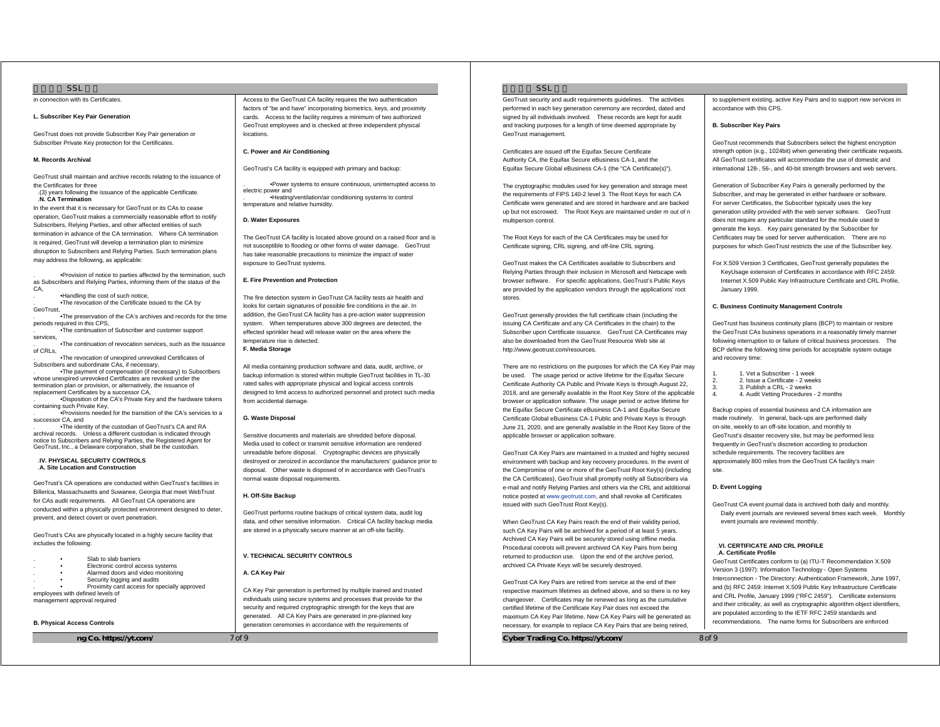### $SSI$

in connection with its Certificates.

### **L. Subscriber Key Pair Generation**

GeoTrust does not provide Subscriber Key Pair generation or Subscriber Private Key protection for the Certificates.

### **M. Records Archival**

GeoTrust shall maintain and archive records relating to the issuance of the Certificates for three

.(3) years following the issuance of the applicable Certificate. .**N. CA Termination** 

In the event that it is necessary for GeoTrust or its CAs to cease operation, GeoTrust makes a commercially reasonable effort to notify Subscribers, Relying Parties, and other affected entities of such termination in advance of the CA termination. Where CA termination is required, GeoTrust will develop a termination plan to minimize disruption to Subscribers and Relying Parties. Such termination plans may address the following, as applicable:

. •Provision of notice to parties affected by the termination, such as Subscribers and Relying Parties, informing them of the status of the  $C.A$ 

. •Handling the cost of such notice,

. •The revocation of the Certificate issued to the CA by **GeoTrust** 

. •The preservation of the CA's archives and records for the time periods required in this CPS, . •The continuation of Subscriber and customer support

services, . •The continuation of revocation services, such as the issuance of CRLs,

. •The revocation of unexpired unrevoked Certificates of Subscribers and subordinate CAs, if necessary, . •The payment of compensation (if necessary) to Subscribers

whose unexpired unrevoked Certificates are revoked under the termination plan or provision, or alternatively, the issuance of replacement Certificates by a successor CA . •Disposition of the CA's Private Key and the hardware tokens

containing such Private Key, . •Provisions needed for the transition of the CA's services to a

successor CA, and . •The identity of the custodian of GeoTrust's CA and RA

archival records. Unless a different custodian is indicated through notice to Subscribers and Relying Parties, the Registered Agent for GeoTrust, Inc., a Delaware corporation, shall be the custodian.

#### .**IV. PHYSICAL SECURITY CONTROLS** .**A. Site Location and Construction**

GeoTrust's CA operations are conducted within GeoTrust's facilities in Billerica, Massachusetts and Suwanee, Georgia that meet WebTrust for CAs audit requirements. All GeoTrust CA operations are conducted within a physically protected environment designed to deter, prevent, and detect covert or overt penetration.

GeoTrust's CAs are physically located in a highly secure facility that includes the following:

. • Electronic control access systems

Alarmed doors and video monitoring Security logging and audits

Proximity card access for specially approved

employees with defined levels of management approval required

**B. Physical Access Controls** 

**ng Co. https://yt.com/** 7 of 9

Access to the GeoTrust CA facility requires the two authentication factors of "be and have" incorporating biometrics, keys, and proximity cards. Access to the facility requires a minimum of two authorized GeoTrust employees and is checked at three independent physical locations.

# **C. Power and Air Conditioning**

GeoTrust's CA facility is equipped with primary and backup:

. •Power systems to ensure continuous, uninterrupted access to electric power and . •Heating/ventilation/air conditioning systems to control temperature and relative humidity.

### **D. Water Exposures**

The GeoTrust CA facility is located above ground on a raised floor and is not susceptible to flooding or other forms of water damage. GeoTrust has take reasonable precautions to minimize the impact of water exposure to GeoTrust systems.

### **E. Fire Prevention and Protection**

The fire detection system in GeoTrust CA facility tests air health and looks for certain signatures of possible fire conditions in the air. In addition, the GeoTrust CA facility has a pre-action water suppression system. When temperatures above 300 degrees are detected, the effected sprinkler head will release water on the area where the temperature rise is detected.

# **F. Media Storage**

All media containing production software and data, audit, archive, or backup information is stored within multiple GeoTrust facilities in TL-30 rated safes with appropriate physical and logical access controls designed to limit access to authorized personnel and protect such media from accidental damage.

### **G. Waste Disposal**

Sensitive documents and materials are shredded before disposal. Media used to collect or transmit sensitive information are rendered unreadable before disposal. Cryptographic devices are physically destroyed or zeroized in accordance the manufacturers' guidance prior to disposal. Other waste is disposed of in accordance with GeoTrust's normal waste disposal requirements.

### **H. Off-Site Backup**

GeoTrust performs routine backups of critical system data, audit log data, and other sensitive information. Critical CA facility backup media are stored in a physically secure manner at an off-site facility.

**V. TECHNICAL SECURITY CONTROLS** 

### **A. CA Key Pair**

CA Key Pair generation is performed by multiple trained and trusted individuals using secure systems and processes that provide for the security and required cryptographic strength for the keys that are generated. All CA Key Pairs are generated in pre-planned key generation ceremonies in accordance with the requirements of

### $S<sub>S</sub>$

GeoTrust security and audit requirements guidelines. The activities performed in each key generation ceremony are recorded, dated and signed by all individuals involved. These records are kept for audit and tracking purposes for a length of time deemed appropriate by GeoTrust management.

Certificates are issued off the Equifax Secure Certificate Authority CA, the Equifax Secure eBusiness CA-1, and the Equifax Secure Global eBusiness CA-1 (the "CA Certificate(s)").

The cryptographic modules used for key generation and storage meet the requirements of FIPS 140-2 level 3. The Root Keys for each CA Certificate were generated and are stored in hardware and are backed up but not escrowed. The Root Keys are maintained under m out of n multiperson control.

The Root Keys for each of the CA Certificates may be used for Certificate signing, CRL signing, and off-line CRL signing.

GeoTrust makes the CA Certificates available to Subscribers and Relying Parties through their inclusion in Microsoft and Netscape web browser software. For specific applications, GeoTrust's Public Keys are provided by the application vendors through the applications' root stores.

GeoTrust generally provides the full certificate chain (including the issuing CA Certificate and any CA Certificates in the chain) to the Subscriber upon Certificate issuance. GeoTrust CA Certificates may also be downloaded from the GeoTrust Resource Web site at http://www.geotrust.com/resources.

There are no restrictions on the purposes for which the CA Key Pair may be used. The usage period or active lifetime for the Equifax Secure Certificate Authority CA Public and Private Keys is through August 22, 2018, and are generally available in the Root Key Store of the applicable browser or application software. The usage period or active lifetime for the Equifax Secure Certificate eBusiness CA-1 and Equifax Secure Certificate Global eBusiness CA-1 Public and Private Keys is through June 21, 2020, and are generally available in the Root Key Store of the applicable browser or application software.

GeoTrust CA Key Pairs are maintained in a trusted and highly secured environment with backup and key recovery procedures. In the event of the Compromise of one or more of the GeoTrust Root Key(s) (including the CA Certificates), GeoTrust shall promptly notify all Subscribers via e-mail and notify Relying Parties and others via the CRL and additional notice posted at www.geotrust.com, and shall revoke all Certificates issued with such GeoTrust Root Key(s).

When GeoTrust CA Key Pairs reach the end of their validity period, such CA Key Pairs will be archived for a period of at least 5 years. Archived CA Key Pairs will be securely stored using offline media. Procedural controls will prevent archived CA Key Pairs from being returned to production use. Upon the end of the archive period, archived CA Private Keys will be securely destroyed.

GeoTrust CA Key Pairs are retired from service at the end of their respective maximum lifetimes as defined above, and so there is no key changeover. Certificates may be renewed as long as the cumulative certified lifetime of the Certificate Key Pair does not exceed the maximum CA Key Pair lifetime. New CA Key Pairs will be generated as necessary, for example to replace CA Key Pairs that are being retired,

Cyber Trading Co. https://yt.com/ 8 of 9

to supplement existing, active Key Pairs and to support new services in accordance with this CPS.

### **B. Subscriber Key Pairs**

GeoTrust recommends that Subscribers select the highest encryption strength option (e.g., 1024bit) when generating their certificate requests. All GeoTrust certificates will accommodate the use of domestic and international 128-, 56-, and 40-bit strength browsers and web servers.

Generation of Subscriber Key Pairs is generally performed by the Subscriber, and may be generated in either hardware or software. For server Certificates, the Subscriber typically uses the key generation utility provided with the web server software. GeoTrust does not require any particular standard for the module used to generate the keys. Key pairs generated by the Subscriber for Certificates may be used for server authentication. There are no purposes for which GeoTrust restricts the use of the Subscriber key.

For X.509 Version 3 Certificates, GeoTrust generally populates the KeyUsage extension of Certificates in accordance with RFC 2459: Internet X.509 Public Key Infrastructure Certificate and CRL Profile, January 1999.

### **C. Business Continuity Management Controls**

GeoTrust has business continuity plans (BCP) to maintain or restore the GeoTrust CAs business operations in a reasonably timely manner following interruption to or failure of critical business processes. The BCP define the following time periods for acceptable system outage and recovery time:

- 1. 1. Vet a Subscriber 1 week
- 2. Issue a Certificate 2 weeks 3. 3. Publish a CRL - 2 weeks
- 4. 4. Audit Vetting Procedures 2 months

Backup copies of essential business and CA information are made routinely. In general, back-ups are performed daily on-site, weekly to an off-site location, and monthly to GeoTrust's disaster recovery site, but may be performed less frequently in GeoTrust's discretion according to production schedule requirements. The recovery facilities are approximately 800 miles from the GeoTrust CA facility's main site.

### **D. Event Logging**

GeoTrust CA event journal data is archived both daily and monthly. Daily event journals are reviewed several times each week. Monthly event journals are reviewed monthly.

### .**VI. CERTIFICATE AND CRL PROFILE**  .**A. Certificate Profile**

GeoTrust Certificates conform to (a) ITU-T Recommendation X.509 Version 3 (1997): Information Technology - Open Systems Interconnection - The Directory: Authentication Framework, June 1997, and (b) RFC 2459: Internet X.509 Public Key Infrastructure Certificate and CRL Profile, January 1999 ("RFC 2459"). Certificate extensions and their criticality, as well as cryptographic algorithm object identifiers, are populated according to the IETF RFC 2459 standards and recommendations. The name forms for Subscribers are enforced